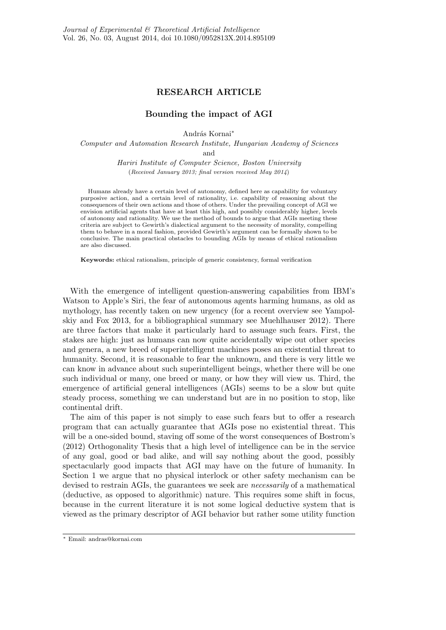# RESEARCH ARTICLE

# Bounding the impact of AGI

András Kornai<sup>\*</sup>

Computer and Automation Research Institute, Hungarian Academy of Sciences and

> Hariri Institute of Computer Science, Boston University (Received January 2013; final version received May 2014)

Humans already have a certain level of autonomy, defined here as capability for voluntary purposive action, and a certain level of rationality, i.e. capability of reasoning about the consequences of their own actions and those of others. Under the prevailing concept of AGI we envision artificial agents that have at least this high, and possibly considerably higher, levels of autonomy and rationality. We use the method of bounds to argue that AGIs meeting these criteria are subject to Gewirth's dialectical argument to the necessity of morality, compelling them to behave in a moral fashion, provided Gewirth's argument can be formally shown to be conclusive. The main practical obstacles to bounding AGIs by means of ethical rationalism are also discussed.

Keywords: ethical rationalism, principle of generic consistency, formal verification

With the emergence of intelligent question-answering capabilities from IBM's Watson to Apple's Siri, the fear of autonomous agents harming humans, as old as mythology, has recently taken on new urgency (for a recent overview see Yampolskiy and Fox 2013, for a bibliographical summary see Muehlhauser 2012). There are three factors that make it particularly hard to assuage such fears. First, the stakes are high: just as humans can now quite accidentally wipe out other species and genera, a new breed of superintelligent machines poses an existential threat to humanity. Second, it is reasonable to fear the unknown, and there is very little we can know in advance about such superintelligent beings, whether there will be one such individual or many, one breed or many, or how they will view us. Third, the emergence of artificial general intelligences (AGIs) seems to be a slow but quite steady process, something we can understand but are in no position to stop, like continental drift.

The aim of this paper is not simply to ease such fears but to offer a research program that can actually guarantee that AGIs pose no existential threat. This will be a one-sided bound, staving off some of the worst consequences of Bostrom's (2012) Orthogonality Thesis that a high level of intelligence can be in the service of any goal, good or bad alike, and will say nothing about the good, possibly spectacularly good impacts that AGI may have on the future of humanity. In Section 1 we argue that no physical interlock or other safety mechanism can be devised to restrain AGIs, the guarantees we seek are *necessarily* of a mathematical (deductive, as opposed to algorithmic) nature. This requires some shift in focus, because in the current literature it is not some logical deductive system that is viewed as the primary descriptor of AGI behavior but rather some utility function

<sup>∗</sup> Email: andras@kornai.com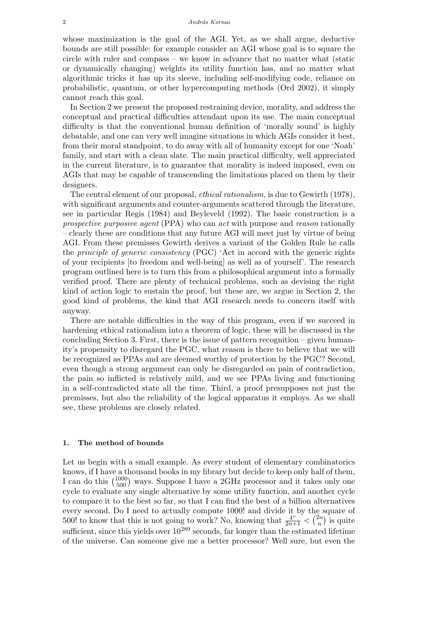whose maximization is the goal of the AGI. Yet, as we shall argue, deductive bounds are still possible: for example consider an AGI whose goal is to square the circle with ruler and compass – we know in advance that no matter what (static or dynamically changing) weights its utility function has, and no matter what algorithmic tricks it has up its sleeve, including self-modifying code, reliance on probabilistic, quantum, or other hypercomputing methods (Ord 2002), it simply cannot reach this goal.

In Section 2 we present the proposed restraining device, morality, and address the conceptual and practical difficulties attendant upon its use. The main conceptual difficulty is that the conventional human definition of 'morally sound' is highly debatable, and one can very well imagine situations in which AGIs consider it best, from their moral standpoint, to do away with all of humanity except for one 'Noah' family, and start with a clean slate. The main practical difficulty, well appreciated in the current literature, is to guarantee that morality is indeed imposed, even on AGIs that may be capable of transcending the limitations placed on them by their designers.

The central element of our proposal, ethical rationalism, is due to Gewirth (1978), with significant arguments and counter-arguments scattered through the literature, see in particular Regis (1984) and Beyleveld (1992). The basic construction is a prospective purposive agent (PPA) who can act with purpose and reason rationally – clearly these are conditions that any future AGI will meet just by virtue of being AGI. From these premisses Gewirth derives a variant of the Golden Rule he calls the principle of generic consistency (PGC) 'Act in accord with the generic rights of your recipients [to freedom and well-being] as well as of yourself'. The research program outlined here is to turn this from a philosophical argument into a formally verified proof. There are plenty of technical problems, such as devising the right kind of action logic to sustain the proof, but these are, we argue in Section 2, the good kind of problems, the kind that AGI research needs to concern itself with anyway.

There are notable difficulties in the way of this program, even if we succeed in hardening ethical rationalism into a theorem of logic, these will be discussed in the concluding Section 3. First, there is the issue of pattern recognition – given humanity's propensity to disregard the PGC, what reason is there to believe that we will be recognized as PPAs and are deemed worthy of protection by the PGC? Second, even though a strong argument can only be disregarded on pain of contradiction, the pain so inflicted is relatively mild, and we see PPAs living and functioning in a self-contradicted state all the time. Third, a proof presupposes not just the premisses, but also the reliability of the logical apparatus it employs. As we shall see, these problems are closely related.

### 1. The method of bounds

Let us begin with a small example. As every student of elementary combinatorics knows, if I have a thousand books in my library but decide to keep only half of them, I can do this  $\binom{1000}{500}$  ways. Suppose I have a 2GHz processor and it takes only one cycle to evaluate any single alternative by some utility function, and another cycle to compare it to the best so far, so that I can find the best of a billion alternatives every second. Do I need to actually compute 1000! and divide it by the square of 500! to know that this is not going to work? No, knowing that  $\frac{4^n}{2n+1} < \binom{2n}{n}$  $\binom{2n}{n}$  is quite sufficient, since this yields over  $10^{289}$  seconds, far longer than the estimated lifetime of the universe. Can someone give me a better processor? Well sure, but even the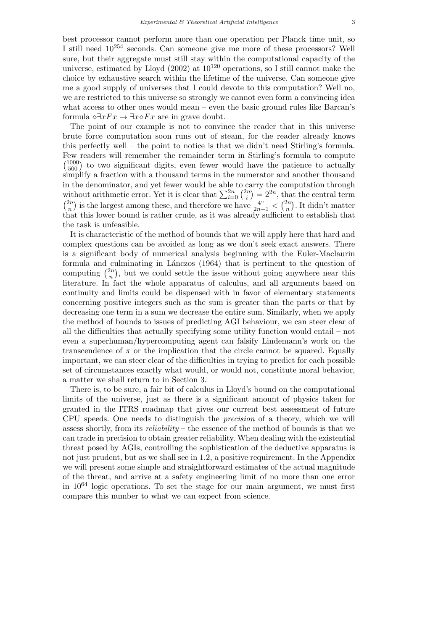best processor cannot perform more than one operation per Planck time unit, so I still need 10<sup>254</sup> seconds. Can someone give me more of these processors? Well sure, but their aggregate must still stay within the computational capacity of the universe, estimated by Lloyd (2002) at  $10^{120}$  operations, so I still cannot make the choice by exhaustive search within the lifetime of the universe. Can someone give me a good supply of universes that I could devote to this computation? Well no, we are restricted to this universe so strongly we cannot even form a convincing idea what access to other ones would mean – even the basic ground rules like Barcan's formula  $\Diamond \exists xFx \rightarrow \exists x \Diamond Fx$  are in grave doubt.

The point of our example is not to convince the reader that in this universe brute force computation soon runs out of steam, for the reader already knows this perfectly well – the point to notice is that we didn't need Stirling's formula. Few readers will remember the remainder term in Stirling's formula to compute  $\binom{1000}{500}$  to two significant digits, even fewer would have the patience to actually simplify a fraction with a thousand terms in the numerator and another thousand in the denominator, and yet fewer would be able to carry the computation through without arithmetic error. Yet it is clear that  $\sum_{i=0}^{2n} {2n \choose i}$  $\binom{2n}{i} = 2^{2n}$ , that the central term  $\binom{2n}{n}$  $\binom{2n}{n}$  is the largest among these, and therefore we have  $\frac{4^n}{2n+1} < \binom{2n}{n}$  $\binom{2n}{n}$ . It didn't matter that this lower bound is rather crude, as it was already sufficient to establish that the task is unfeasible.

It is characteristic of the method of bounds that we will apply here that hard and complex questions can be avoided as long as we don't seek exact answers. There is a significant body of numerical analysis beginning with the Euler-Maclaurin formula and culminating in Lánczos (1964) that is pertinent to the question of computing  $\binom{2n}{n}$  $\binom{2n}{n}$ , but we could settle the issue without going anywhere near this literature. In fact the whole apparatus of calculus, and all arguments based on continuity and limits could be dispensed with in favor of elementary statements concerning positive integers such as the sum is greater than the parts or that by decreasing one term in a sum we decrease the entire sum. Similarly, when we apply the method of bounds to issues of predicting AGI behaviour, we can steer clear of all the difficulties that actually specifying some utility function would entail – not even a superhuman/hypercomputing agent can falsify Lindemann's work on the transcendence of  $\pi$  or the implication that the circle cannot be squared. Equally important, we can steer clear of the difficulties in trying to predict for each possible set of circumstances exactly what would, or would not, constitute moral behavior, a matter we shall return to in Section 3.

There is, to be sure, a fair bit of calculus in Lloyd's bound on the computational limits of the universe, just as there is a significant amount of physics taken for granted in the ITRS roadmap that gives our current best assessment of future CPU speeds. One needs to distinguish the precision of a theory, which we will assess shortly, from its *reliability* – the essence of the method of bounds is that we can trade in precision to obtain greater reliability. When dealing with the existential threat posed by AGIs, controlling the sophistication of the deductive apparatus is not just prudent, but as we shall see in 1.2, a positive requirement. In the Appendix we will present some simple and straightforward estimates of the actual magnitude of the threat, and arrive at a safety engineering limit of no more than one error in  $10^{64}$  logic operations. To set the stage for our main argument, we must first compare this number to what we can expect from science.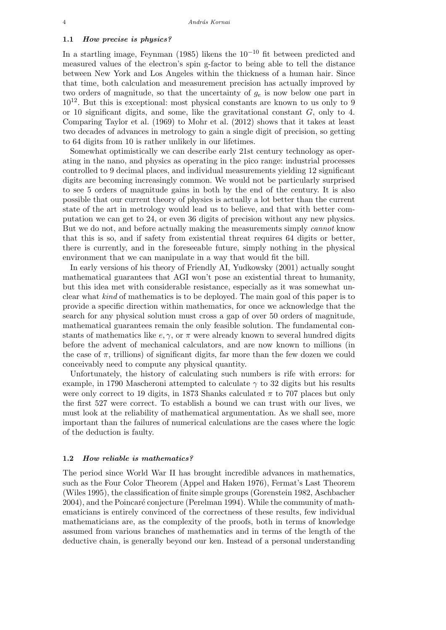### 1.1 How precise is physics?

In a startling image, Feynman (1985) likens the  $10^{-10}$  fit between predicted and measured values of the electron's spin g-factor to being able to tell the distance between New York and Los Angeles within the thickness of a human hair. Since that time, both calculation and measurement precision has actually improved by two orders of magnitude, so that the uncertainty of  $g_e$  is now below one part in  $10^{12}$ . But this is exceptional: most physical constants are known to us only to 9 or 10 significant digits, and some, like the gravitational constant  $G$ , only to 4. Comparing Taylor et al. (1969) to Mohr et al. (2012) shows that it takes at least two decades of advances in metrology to gain a single digit of precision, so getting to 64 digits from 10 is rather unlikely in our lifetimes.

Somewhat optimistically we can describe early 21st century technology as operating in the nano, and physics as operating in the pico range: industrial processes controlled to 9 decimal places, and individual measurements yielding 12 significant digits are becoming increasingly common. We would not be particularly surprised to see 5 orders of magnitude gains in both by the end of the century. It is also possible that our current theory of physics is actually a lot better than the current state of the art in metrology would lead us to believe, and that with better computation we can get to 24, or even 36 digits of precision without any new physics. But we do not, and before actually making the measurements simply cannot know that this is so, and if safety from existential threat requires 64 digits or better, there is currently, and in the foreseeable future, simply nothing in the physical environment that we can manipulate in a way that would fit the bill.

In early versions of his theory of Friendly AI, Yudkowsky (2001) actually sought mathematical guarantees that AGI won't pose an existential threat to humanity, but this idea met with considerable resistance, especially as it was somewhat unclear what kind of mathematics is to be deployed. The main goal of this paper is to provide a specific direction within mathematics, for once we acknowledge that the search for any physical solution must cross a gap of over 50 orders of magnitude, mathematical guarantees remain the only feasible solution. The fundamental constants of mathematics like  $e, \gamma$ , or  $\pi$  were already known to several hundred digits before the advent of mechanical calculators, and are now known to millions (in the case of  $\pi$ , trillions) of significant digits, far more than the few dozen we could conceivably need to compute any physical quantity.

Unfortunately, the history of calculating such numbers is rife with errors: for example, in 1790 Mascheroni attempted to calculate  $\gamma$  to 32 digits but his results were only correct to 19 digits, in 1873 Shanks calculated  $\pi$  to 707 places but only the first 527 were correct. To establish a bound we can trust with our lives, we must look at the reliability of mathematical argumentation. As we shall see, more important than the failures of numerical calculations are the cases where the logic of the deduction is faulty.

# 1.2 How reliable is mathematics?

The period since World War II has brought incredible advances in mathematics, such as the Four Color Theorem (Appel and Haken 1976), Fermat's Last Theorem (Wiles 1995), the classification of finite simple groups (Gorenstein 1982, Aschbacher 2004), and the Poincaré conjecture (Perelman 1994). While the community of mathematicians is entirely convinced of the correctness of these results, few individual mathematicians are, as the complexity of the proofs, both in terms of knowledge assumed from various branches of mathematics and in terms of the length of the deductive chain, is generally beyond our ken. Instead of a personal understanding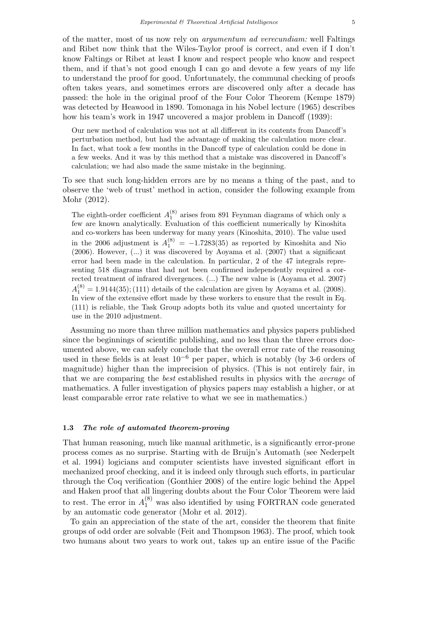of the matter, most of us now rely on argumentum ad verecundiam: well Faltings and Ribet now think that the Wiles-Taylor proof is correct, and even if I don't know Faltings or Ribet at least I know and respect people who know and respect them, and if that's not good enough I can go and devote a few years of my life to understand the proof for good. Unfortunately, the communal checking of proofs often takes years, and sometimes errors are discovered only after a decade has passed: the hole in the original proof of the Four Color Theorem (Kempe 1879) was detected by Heawood in 1890. Tomonaga in his Nobel lecture (1965) describes how his team's work in 1947 uncovered a major problem in Dancoff (1939):

Our new method of calculation was not at all different in its contents from Dancoff's perturbation method, but had the advantage of making the calculation more clear. In fact, what took a few months in the Dancoff type of calculation could be done in a few weeks. And it was by this method that a mistake was discovered in Dancoff's calculation; we had also made the same mistake in the beginning.

To see that such long-hidden errors are by no means a thing of the past, and to observe the 'web of trust' method in action, consider the following example from Mohr (2012).

The eighth-order coefficient  $A_1^{(8)}$  arises from 891 Feynman diagrams of which only a few are known analytically. Evaluation of this coefficient numerically by Kinoshita and co-workers has been underway for many years (Kinoshita, 2010). The value used in the 2006 adjustment is  $A_1^{(8)} = -1.7283(35)$  as reported by Kinoshita and Nio (2006). However, (...) it was discovered by Aoyama et al. (2007) that a significant error had been made in the calculation. In particular, 2 of the 47 integrals representing 518 diagrams that had not been confirmed independently required a corrected treatment of infrared divergences. (...) The new value is (Aoyama et al. 2007)  $A_1^{(8)} = 1.9144(35); (111)$  details of the calculation are given by Aoyama et al. (2008). In view of the extensive effort made by these workers to ensure that the result in Eq. (111) is reliable, the Task Group adopts both its value and quoted uncertainty for use in the 2010 adjustment.

Assuming no more than three million mathematics and physics papers published since the beginnings of scientific publishing, and no less than the three errors documented above, we can safely conclude that the overall error rate of the reasoning used in these fields is at least  $10^{-6}$  per paper, which is notably (by 3-6 orders of magnitude) higher than the imprecision of physics. (This is not entirely fair, in that we are comparing the best established results in physics with the average of mathematics. A fuller investigation of physics papers may establish a higher, or at least comparable error rate relative to what we see in mathematics.)

### 1.3 The role of automated theorem-proving

That human reasoning, much like manual arithmetic, is a significantly error-prone process comes as no surprise. Starting with de Bruijn's Automath (see Nederpelt et al. 1994) logicians and computer scientists have invested significant effort in mechanized proof checking, and it is indeed only through such efforts, in particular through the Coq verification (Gonthier 2008) of the entire logic behind the Appel and Haken proof that all lingering doubts about the Four Color Theorem were laid to rest. The error in  $A_1^{(8)}$  was also identified by using FORTRAN code generated by an automatic code generator (Mohr et al. 2012).

To gain an appreciation of the state of the art, consider the theorem that finite groups of odd order are solvable (Feit and Thompson 1963). The proof, which took two humans about two years to work out, takes up an entire issue of the Pacific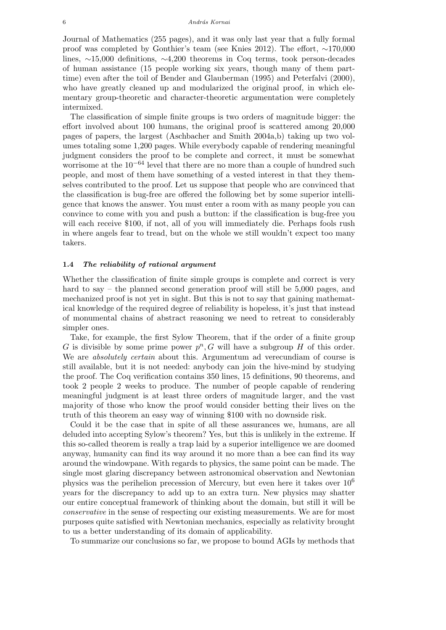Journal of Mathematics (255 pages), and it was only last year that a fully formal proof was completed by Gonthier's team (see Knies 2012). The effort, ∼170,000 lines, ∼15,000 definitions, ∼4,200 theorems in Coq terms, took person-decades of human assistance (15 people working six years, though many of them parttime) even after the toil of Bender and Glauberman (1995) and Peterfalvi (2000), who have greatly cleaned up and modularized the original proof, in which elementary group-theoretic and character-theoretic argumentation were completely intermixed.

The classification of simple finite groups is two orders of magnitude bigger: the effort involved about 100 humans, the original proof is scattered among 20,000 pages of papers, the largest (Aschbacher and Smith 2004a,b) taking up two volumes totaling some 1,200 pages. While everybody capable of rendering meaningful judgment considers the proof to be complete and correct, it must be somewhat worrisome at the  $10^{-64}$  level that there are no more than a couple of hundred such people, and most of them have something of a vested interest in that they themselves contributed to the proof. Let us suppose that people who are convinced that the classification is bug-free are offered the following bet by some superior intelligence that knows the answer. You must enter a room with as many people you can convince to come with you and push a button: if the classification is bug-free you will each receive \$100, if not, all of you will immediately die. Perhaps fools rush in where angels fear to tread, but on the whole we still wouldn't expect too many takers.

## 1.4 The reliability of rational argument

Whether the classification of finite simple groups is complete and correct is very hard to say – the planned second generation proof will still be 5,000 pages, and mechanized proof is not yet in sight. But this is not to say that gaining mathematical knowledge of the required degree of reliability is hopeless, it's just that instead of monumental chains of abstract reasoning we need to retreat to considerably simpler ones.

Take, for example, the first Sylow Theorem, that if the order of a finite group G is divisible by some prime power  $p^n$ , G will have a subgroup H of this order. We are *absolutely certain* about this. Argumentum ad verecundiam of course is still available, but it is not needed: anybody can join the hive-mind by studying the proof. The Coq verification contains 350 lines, 15 definitions, 90 theorems, and took 2 people 2 weeks to produce. The number of people capable of rendering meaningful judgment is at least three orders of magnitude larger, and the vast majority of those who know the proof would consider betting their lives on the truth of this theorem an easy way of winning \$100 with no downside risk.

Could it be the case that in spite of all these assurances we, humans, are all deluded into accepting Sylow's theorem? Yes, but this is unlikely in the extreme. If this so-called theorem is really a trap laid by a superior intelligence we are doomed anyway, humanity can find its way around it no more than a bee can find its way around the windowpane. With regards to physics, the same point can be made. The single most glaring discrepancy between astronomical observation and Newtonian physics was the perihelion precession of Mercury, but even here it takes over 10<sup>6</sup> years for the discrepancy to add up to an extra turn. New physics may shatter our entire conceptual framework of thinking about the domain, but still it will be conservative in the sense of respecting our existing measurements. We are for most purposes quite satisfied with Newtonian mechanics, especially as relativity brought to us a better understanding of its domain of applicability.

To summarize our conclusions so far, we propose to bound AGIs by methods that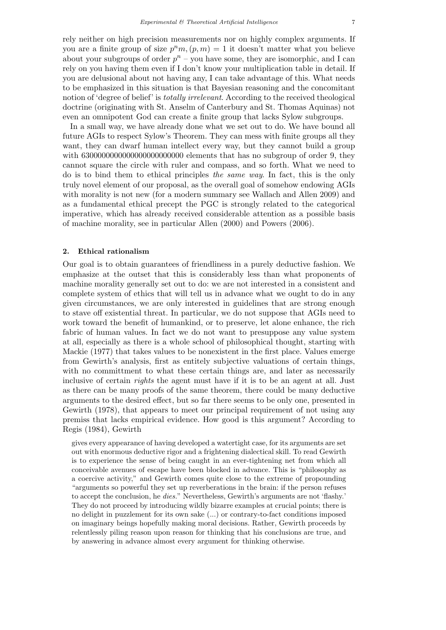rely neither on high precision measurements nor on highly complex arguments. If you are a finite group of size  $p^n m$ ,  $(p, m) = 1$  it doesn't matter what you believe about your subgroups of order  $p<sup>n</sup>$  – you have some, they are isomorphic, and I can rely on you having them even if I don't know your multiplication table in detail. If you are delusional about not having any, I can take advantage of this. What needs to be emphasized in this situation is that Bayesian reasoning and the concomitant notion of 'degree of belief' is *totally irrelevant*. According to the received theological doctrine (originating with St. Anselm of Canterbury and St. Thomas Aquinas) not even an omnipotent God can create a finite group that lacks Sylow subgroups.

In a small way, we have already done what we set out to do. We have bound all future AGIs to respect Sylow's Theorem. They can mess with finite groups all they want, they can dwarf human intellect every way, but they cannot build a group with 630000000000000000000000000000 elements that has no subgroup of order 9, they cannot square the circle with ruler and compass, and so forth. What we need to do is to bind them to ethical principles the same way. In fact, this is the only truly novel element of our proposal, as the overall goal of somehow endowing AGIs with morality is not new (for a modern summary see Wallach and Allen 2009) and as a fundamental ethical precept the PGC is strongly related to the categorical imperative, which has already received considerable attention as a possible basis of machine morality, see in particular Allen (2000) and Powers (2006).

### 2. Ethical rationalism

Our goal is to obtain guarantees of friendliness in a purely deductive fashion. We emphasize at the outset that this is considerably less than what proponents of machine morality generally set out to do: we are not interested in a consistent and complete system of ethics that will tell us in advance what we ought to do in any given circumstances, we are only interested in guidelines that are strong enough to stave off existential threat. In particular, we do not suppose that AGIs need to work toward the benefit of humankind, or to preserve, let alone enhance, the rich fabric of human values. In fact we do not want to presuppose any value system at all, especially as there is a whole school of philosophical thought, starting with Mackie (1977) that takes values to be nonexistent in the first place. Values emerge from Gewirth's analysis, first as entitely subjective valuations of certain things, with no committment to what these certain things are, and later as necessarily inclusive of certain rights the agent must have if it is to be an agent at all. Just as there can be many proofs of the same theorem, there could be many deductive arguments to the desired effect, but so far there seems to be only one, presented in Gewirth (1978), that appears to meet our principal requirement of not using any premiss that lacks empirical evidence. How good is this argument? According to Regis (1984), Gewirth

gives every appearance of having developed a watertight case, for its arguments are set out with enormous deductive rigor and a frightening dialectical skill. To read Gewirth is to experience the sense of being caught in an ever-tightening net from which all conceivable avenues of escape have been blocked in advance. This is "philosophy as a coercive activity," and Gewirth comes quite close to the extreme of propounding "arguments so powerful they set up reverberations in the brain: if the person refuses to accept the conclusion, he dies." Nevertheless, Gewirth's arguments are not 'flashy.' They do not proceed by introducing wildly bizarre examples at crucial points; there is no delight in puzzlement for its own sake (...) or contrary-to-fact conditions imposed on imaginary beings hopefully making moral decisions. Rather, Gewirth proceeds by relentlessly piling reason upon reason for thinking that his conclusions are true, and by answering in advance almost every argument for thinking otherwise.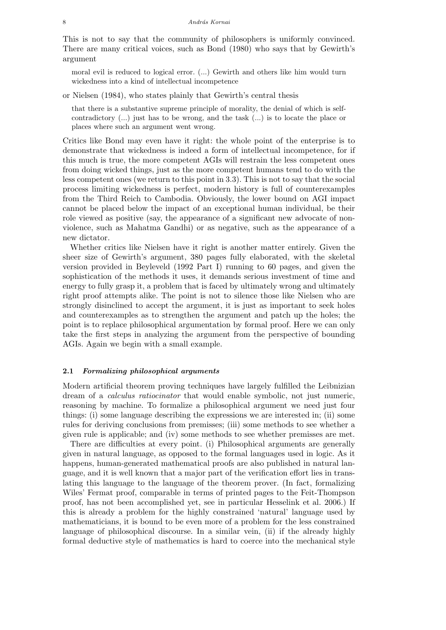This is not to say that the community of philosophers is uniformly convinced. There are many critical voices, such as Bond (1980) who says that by Gewirth's argument

moral evil is reduced to logical error. (...) Gewirth and others like him would turn wickedness into a kind of intellectual incompetence

or Nielsen (1984), who states plainly that Gewirth's central thesis

that there is a substantive supreme principle of morality, the denial of which is selfcontradictory (...) just has to be wrong, and the task (...) is to locate the place or places where such an argument went wrong.

Critics like Bond may even have it right: the whole point of the enterprise is to demonstrate that wickedness is indeed a form of intellectual incompetence, for if this much is true, the more competent AGIs will restrain the less competent ones from doing wicked things, just as the more competent humans tend to do with the less competent ones (we return to this point in 3.3). This is not to say that the social process limiting wickedness is perfect, modern history is full of counterexamples from the Third Reich to Cambodia. Obviously, the lower bound on AGI impact cannot be placed below the impact of an exceptional human individual, be their role viewed as positive (say, the appearance of a significant new advocate of nonviolence, such as Mahatma Gandhi) or as negative, such as the appearance of a new dictator.

Whether critics like Nielsen have it right is another matter entirely. Given the sheer size of Gewirth's argument, 380 pages fully elaborated, with the skeletal version provided in Beyleveld (1992 Part I) running to 60 pages, and given the sophistication of the methods it uses, it demands serious investment of time and energy to fully grasp it, a problem that is faced by ultimately wrong and ultimately right proof attempts alike. The point is not to silence those like Nielsen who are strongly disinclined to accept the argument, it is just as important to seek holes and counterexamples as to strengthen the argument and patch up the holes; the point is to replace philosophical argumentation by formal proof. Here we can only take the first steps in analyzing the argument from the perspective of bounding AGIs. Again we begin with a small example.

## 2.1 Formalizing philosophical arguments

Modern artificial theorem proving techniques have largely fulfilled the Leibnizian dream of a calculus ratiocinator that would enable symbolic, not just numeric, reasoning by machine. To formalize a philosophical argument we need just four things: (i) some language describing the expressions we are interested in; (ii) some rules for deriving conclusions from premisses; (iii) some methods to see whether a given rule is applicable; and (iv) some methods to see whether premisses are met.

There are difficulties at every point. (i) Philosophical arguments are generally given in natural language, as opposed to the formal languages used in logic. As it happens, human-generated mathematical proofs are also published in natural language, and it is well known that a major part of the verification effort lies in translating this language to the language of the theorem prover. (In fact, formalizing Wiles' Fermat proof, comparable in terms of printed pages to the Feit-Thompson proof, has not been accomplished yet, see in particular Hesselink et al. 2006.) If this is already a problem for the highly constrained 'natural' language used by mathematicians, it is bound to be even more of a problem for the less constrained language of philosophical discourse. In a similar vein, (ii) if the already highly formal deductive style of mathematics is hard to coerce into the mechanical style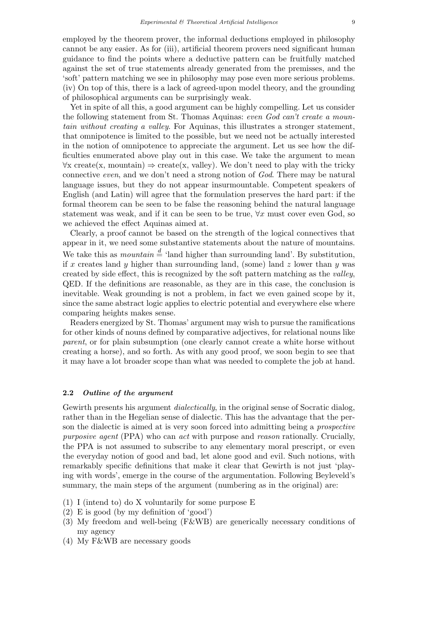employed by the theorem prover, the informal deductions employed in philosophy cannot be any easier. As for (iii), artificial theorem provers need significant human guidance to find the points where a deductive pattern can be fruitfully matched against the set of true statements already generated from the premisses, and the 'soft' pattern matching we see in philosophy may pose even more serious problems. (iv) On top of this, there is a lack of agreed-upon model theory, and the grounding of philosophical arguments can be surprisingly weak.

Yet in spite of all this, a good argument can be highly compelling. Let us consider the following statement from St. Thomas Aquinas: even God can't create a mountain without creating a valley. For Aquinas, this illustrates a stronger statement, that omnipotence is limited to the possible, but we need not be actually interested in the notion of omnipotence to appreciate the argument. Let us see how the difficulties enumerated above play out in this case. We take the argument to mean  $\forall x \text{ create}(x, \text{ mountain}) \Rightarrow \text{create}(x, \text{ valley})$ . We don't need to play with the tricky connective even, and we don't need a strong notion of God. There may be natural language issues, but they do not appear insurmountable. Competent speakers of English (and Latin) will agree that the formulation preserves the hard part: if the formal theorem can be seen to be false the reasoning behind the natural language statement was weak, and if it can be seen to be true,  $\forall x$  must cover even God, so we achieved the effect Aquinas aimed at.

Clearly, a proof cannot be based on the strength of the logical connectives that appear in it, we need some substantive statements about the nature of mountains. We take this as *mountain*  $\stackrel{d}{=}$  'land higher than surrounding land'. By substitution, if x creates land y higher than surrounding land, (some) land z lower than y was created by side effect, this is recognized by the soft pattern matching as the valley, QED. If the definitions are reasonable, as they are in this case, the conclusion is inevitable. Weak grounding is not a problem, in fact we even gained scope by it, since the same abstract logic applies to electric potential and everywhere else where comparing heights makes sense.

Readers energized by St. Thomas' argument may wish to pursue the ramifications for other kinds of nouns defined by comparative adjectives, for relational nouns like parent, or for plain subsumption (one clearly cannot create a white horse without creating a horse), and so forth. As with any good proof, we soon begin to see that it may have a lot broader scope than what was needed to complete the job at hand.

### 2.2 Outline of the argument

Gewirth presents his argument *dialectically*, in the original sense of Socratic dialog, rather than in the Hegelian sense of dialectic. This has the advantage that the person the dialectic is aimed at is very soon forced into admitting being a prospective purposive agent (PPA) who can act with purpose and reason rationally. Crucially, the PPA is not assumed to subscribe to any elementary moral prescript, or even the everyday notion of good and bad, let alone good and evil. Such notions, with remarkably specific definitions that make it clear that Gewirth is not just 'playing with words', emerge in the course of the argumentation. Following Beyleveld's summary, the main steps of the argument (numbering as in the original) are:

- (1) I (intend to) do X voluntarily for some purpose E
- (2) E is good (by my definition of 'good')
- (3) My freedom and well-being (F&WB) are generically necessary conditions of my agency
- (4) My F&WB are necessary goods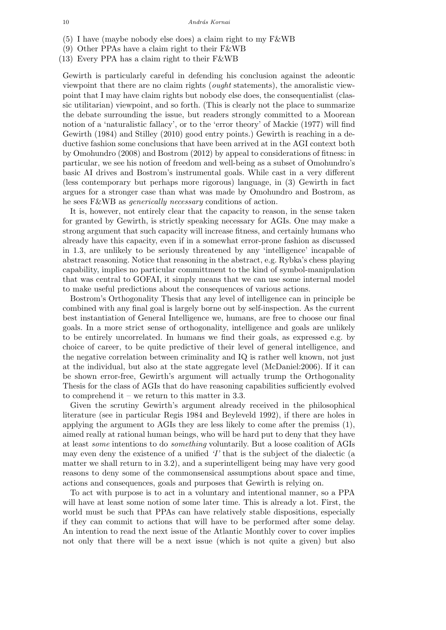- (5) I have (maybe nobody else does) a claim right to my F&WB
- (9) Other PPAs have a claim right to their F&WB
- $(13)$  Every PPA has a claim right to their F&WB

Gewirth is particularly careful in defending his conclusion against the adeontic viewpoint that there are no claim rights (ought statements), the amoralistic viewpoint that I may have claim rights but nobody else does, the consequentialist (classic utilitarian) viewpoint, and so forth. (This is clearly not the place to summarize the debate surrounding the issue, but readers strongly committed to a Moorean notion of a 'naturalistic fallacy', or to the 'error theory' of Mackie (1977) will find Gewirth (1984) and Stilley (2010) good entry points.) Gewirth is reaching in a deductive fashion some conclusions that have been arrived at in the AGI context both by Omohundro (2008) and Bostrom (2012) by appeal to considerations of fitness: in particular, we see his notion of freedom and well-being as a subset of Omohundro's basic AI drives and Bostrom's instrumental goals. While cast in a very different (less contemporary but perhaps more rigorous) language, in (3) Gewirth in fact argues for a stronger case than what was made by Omohundro and Bostrom, as he sees F&WB as generically necessary conditions of action.

It is, however, not entirely clear that the capacity to reason, in the sense taken for granted by Gewirth, is strictly speaking necessary for AGIs. One may make a strong argument that such capacity will increase fitness, and certainly humans who already have this capacity, even if in a somewhat error-prone fashion as discussed in 1.3, are unlikely to be seriously threatened by any 'intelligence' incapable of abstract reasoning. Notice that reasoning in the abstract, e.g. Rybka's chess playing capability, implies no particular committment to the kind of symbol-manipulation that was central to GOFAI, it simply means that we can use some internal model to make useful predictions about the consequences of various actions.

Bostrom's Orthogonality Thesis that any level of intelligence can in principle be combined with any final goal is largely borne out by self-inspection. As the current best instantiation of General Intelligence we, humans, are free to choose our final goals. In a more strict sense of orthogonality, intelligence and goals are unlikely to be entirely uncorrelated. In humans we find their goals, as expressed e.g. by choice of career, to be quite predictive of their level of general intelligence, and the negative correlation between criminality and IQ is rather well known, not just at the individual, but also at the state aggregate level (McDaniel:2006). If it can be shown error-free, Gewirth's argument will actually trump the Orthogonality Thesis for the class of AGIs that do have reasoning capabilities sufficiently evolved to comprehend it – we return to this matter in 3.3.

Given the scrutiny Gewirth's argument already received in the philosophical literature (see in particular Regis 1984 and Beyleveld 1992), if there are holes in applying the argument to AGIs they are less likely to come after the premiss (1), aimed really at rational human beings, who will be hard put to deny that they have at least some intentions to do something voluntarily. But a loose coalition of AGIs may even deny the existence of a unified  $T$  that is the subject of the dialectic (a matter we shall return to in 3.2), and a superintelligent being may have very good reasons to deny some of the commonsensical assumptions about space and time, actions and consequences, goals and purposes that Gewirth is relying on.

To act with purpose is to act in a voluntary and intentional manner, so a PPA will have at least some notion of some later time. This is already a lot. First, the world must be such that PPAs can have relatively stable dispositions, especially if they can commit to actions that will have to be performed after some delay. An intention to read the next issue of the Atlantic Monthly cover to cover implies not only that there will be a next issue (which is not quite a given) but also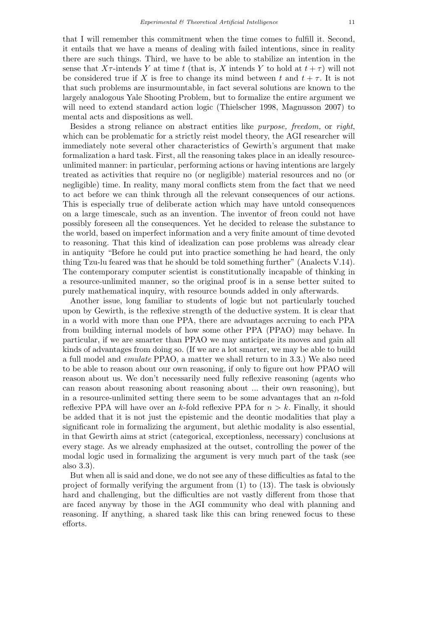that I will remember this commitment when the time comes to fulfill it. Second, it entails that we have a means of dealing with failed intentions, since in reality there are such things. Third, we have to be able to stabilize an intention in the sense that  $X\tau$ -intends Y at time t (that is, X intends Y to hold at  $t + \tau$ ) will not be considered true if X is free to change its mind between t and  $t + \tau$ . It is not that such problems are insurmountable, in fact several solutions are known to the largely analogous Yale Shooting Problem, but to formalize the entire argument we will need to extend standard action logic (Thielscher 1998, Magnusson 2007) to mental acts and dispositions as well.

Besides a strong reliance on abstract entities like purpose, freedom, or right, which can be problematic for a strictly reist model theory, the AGI researcher will immediately note several other characteristics of Gewirth's argument that make formalization a hard task. First, all the reasoning takes place in an ideally resourceunlimited manner: in particular, performing actions or having intentions are largely treated as activities that require no (or negligible) material resources and no (or negligible) time. In reality, many moral conflicts stem from the fact that we need to act before we can think through all the relevant consequences of our actions. This is especially true of deliberate action which may have untold consequences on a large timescale, such as an invention. The inventor of freon could not have possibly foreseen all the consequences. Yet he decided to release the substance to the world, based on imperfect information and a very finite amount of time devoted to reasoning. That this kind of idealization can pose problems was already clear in antiquity "Before he could put into practice something he had heard, the only thing Tzu-lu feared was that he should be told something further" (Analects V.14). The contemporary computer scientist is constitutionally incapable of thinking in a resource-unlimited manner, so the original proof is in a sense better suited to purely mathematical inquiry, with resource bounds added in only afterwards.

Another issue, long familiar to students of logic but not particularly touched upon by Gewirth, is the reflexive strength of the deductive system. It is clear that in a world with more than one PPA, there are advantages accruing to each PPA from building internal models of how some other PPA (PPAO) may behave. In particular, if we are smarter than PPAO we may anticipate its moves and gain all kinds of advantages from doing so. (If we are a lot smarter, we may be able to build a full model and emulate PPAO, a matter we shall return to in 3.3.) We also need to be able to reason about our own reasoning, if only to figure out how PPAO will reason about us. We don't necessarily need fully reflexive reasoning (agents who can reason about reasoning about reasoning about ... their own reasoning), but in a resource-unlimited setting there seem to be some advantages that an  $n$ -fold reflexive PPA will have over an k-fold reflexive PPA for  $n > k$ . Finally, it should be added that it is not just the epistemic and the deontic modalities that play a significant role in formalizing the argument, but alethic modality is also essential, in that Gewirth aims at strict (categorical, exceptionless, necessary) conclusions at every stage. As we already emphasized at the outset, controlling the power of the modal logic used in formalizing the argument is very much part of the task (see also 3.3).

But when all is said and done, we do not see any of these difficulties as fatal to the project of formally verifying the argument from (1) to (13). The task is obviously hard and challenging, but the difficulties are not vastly different from those that are faced anyway by those in the AGI community who deal with planning and reasoning. If anything, a shared task like this can bring renewed focus to these efforts.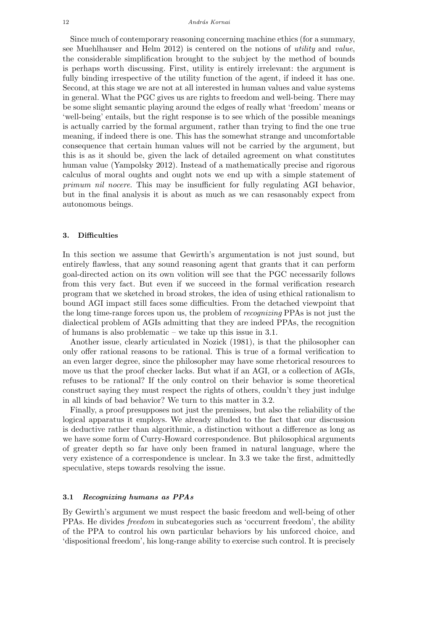Since much of contemporary reasoning concerning machine ethics (for a summary, see Muehlhauser and Helm 2012) is centered on the notions of utility and value, the considerable simplification brought to the subject by the method of bounds is perhaps worth discussing. First, utility is entirely irrelevant: the argument is fully binding irrespective of the utility function of the agent, if indeed it has one. Second, at this stage we are not at all interested in human values and value systems in general. What the PGC gives us are rights to freedom and well-being. There may be some slight semantic playing around the edges of really what 'freedom' means or 'well-being' entails, but the right response is to see which of the possible meanings is actually carried by the formal argument, rather than trying to find the one true meaning, if indeed there is one. This has the somewhat strange and uncomfortable consequence that certain human values will not be carried by the argument, but this is as it should be, given the lack of detailed agreement on what constitutes human value (Yampolsky 2012). Instead of a mathematically precise and rigorous calculus of moral oughts and ought nots we end up with a simple statement of primum nil nocere. This may be insufficient for fully regulating AGI behavior, but in the final analysis it is about as much as we can resasonably expect from autonomous beings.

# 3. Difficulties

In this section we assume that Gewirth's argumentation is not just sound, but entirely flawless, that any sound reasoning agent that grants that it can perform goal-directed action on its own volition will see that the PGC necessarily follows from this very fact. But even if we succeed in the formal verification research program that we sketched in broad strokes, the idea of using ethical rationalism to bound AGI impact still faces some difficulties. From the detached viewpoint that the long time-range forces upon us, the problem of recognizing PPAs is not just the dialectical problem of AGIs admitting that they are indeed PPAs, the recognition of humans is also problematic – we take up this issue in 3.1.

Another issue, clearly articulated in Nozick (1981), is that the philosopher can only offer rational reasons to be rational. This is true of a formal verification to an even larger degree, since the philosopher may have some rhetorical resources to move us that the proof checker lacks. But what if an AGI, or a collection of AGIs, refuses to be rational? If the only control on their behavior is some theoretical construct saying they must respect the rights of others, couldn't they just indulge in all kinds of bad behavior? We turn to this matter in 3.2.

Finally, a proof presupposes not just the premisses, but also the reliability of the logical apparatus it employs. We already alluded to the fact that our discussion is deductive rather than algorithmic, a distinction without a difference as long as we have some form of Curry-Howard correspondence. But philosophical arguments of greater depth so far have only been framed in natural language, where the very existence of a correspondence is unclear. In 3.3 we take the first, admittedly speculative, steps towards resolving the issue.

## 3.1 Recognizing humans as PPAs

By Gewirth's argument we must respect the basic freedom and well-being of other PPAs. He divides freedom in subcategories such as 'occurrent freedom', the ability of the PPA to control his own particular behaviors by his unforced choice, and 'dispositional freedom', his long-range ability to exercise such control. It is precisely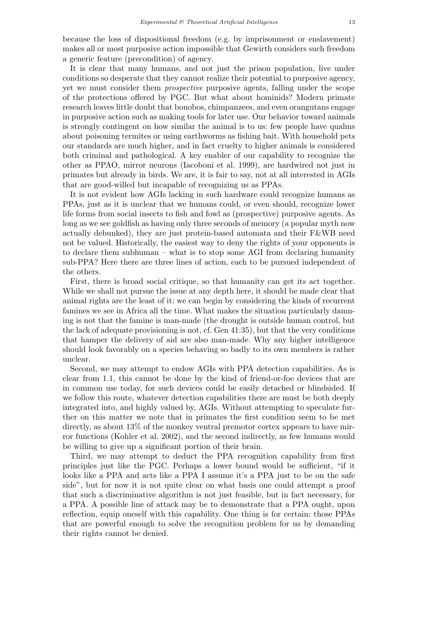because the loss of dispositional freedom (e.g. by imprisonment or enslavement) makes all or most purposive action impossible that Gewirth considers such freedom a generic feature (precondition) of agency.

It is clear that many humans, and not just the prison population, live under conditions so desperate that they cannot realize their potential to purposive agency, yet we must consider them prospective purposive agents, falling under the scope of the protections offered by PGC. But what about hominids? Modern primate research leaves little doubt that bonobos, chimpanzees, and even orangutans engage in purposive action such as making tools for later use. Our behavior toward animals is strongly contingent on how similar the animal is to us: few people have qualms about poisoning termites or using earthworms as fishing bait. With household pets our standards are much higher, and in fact cruelty to higher animals is considered both criminal and pathological. A key enabler of our capability to recognize the other as PPAO, mirror neurons (Iacoboni et al. 1999), are hardwired not just in primates but already in birds. We are, it is fair to say, not at all interested in AGIs that are good-willed but incapable of recognizing us as PPAs.

It is not evident how AGIs lacking in such hardware could recognize humans as PPAs, just as it is unclear that we humans could, or even should, recognize lower life forms from social insects to fish and fowl as (prospective) purposive agents. As long as we see goldfish as having only three seconds of memory (a popular myth now actually debunked), they are just protein-based automata and their F&WB need not be valued. Historically, the easiest way to deny the rights of your opponents is to declare them subhuman – what is to stop some AGI from declaring humanity sub-PPA? Here there are three lines of action, each to be pursued independent of the others.

First, there is broad social critique, so that humanity can get its act together. While we shall not pursue the issue at any depth here, it should be made clear that animal rights are the least of it: we can begin by considering the kinds of recurrent famines we see in Africa all the time. What makes the situation particularly damning is not that the famine is man-made (the drought is outside human control, but the lack of adequate provisioning is not, cf. Gen 41:35), but that the very conditions that hamper the delivery of aid are also man-made. Why any higher intelligence should look favorably on a species behaving so badly to its own members is rather unclear.

Second, we may attempt to endow AGIs with PPA detection capabilities. As is clear from 1.1, this cannot be done by the kind of friend-or-foe devices that are in common use today, for such devices could be easily detached or blindsided. If we follow this route, whatever detection capabilities there are must be both deeply integrated into, and highly valued by, AGIs. Without attempting to speculate further on this matter we note that in primates the first condition seem to be met directly, as about 13% of the monkey ventral premotor cortex appears to have mirror functions (Kohler et al. 2002), and the second indirectly, as few humans would be willing to give up a significant portion of their brain.

Third, we may attempt to deduct the PPA recognition capability from first principles just like the PGC. Perhaps a lower bound would be sufficient, "if it looks like a PPA and acts like a PPA I assume it's a PPA just to be on the safe side", but for now it is not quite clear on what basis one could attempt a proof that such a discriminative algorithm is not just feasible, but in fact necessary, for a PPA. A possible line of attack may be to demonstrate that a PPA ought, upon reflection, equip oneself with this capability. One thing is for certain: those PPAs that are powerful enough to solve the recognition problem for us by demanding their rights cannot be denied.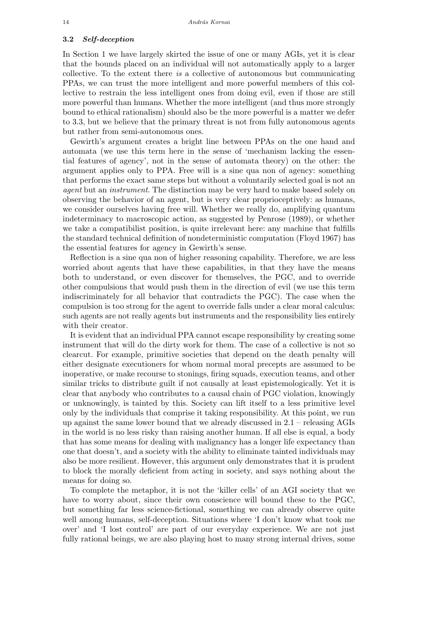# 3.2 Self-deception

In Section 1 we have largely skirted the issue of one or many AGIs, yet it is clear that the bounds placed on an individual will not automatically apply to a larger collective. To the extent there is a collective of autonomous but communicating PPAs, we can trust the more intelligent and more powerful members of this collective to restrain the less intelligent ones from doing evil, even if those are still more powerful than humans. Whether the more intelligent (and thus more strongly bound to ethical rationalism) should also be the more powerful is a matter we defer to 3.3, but we believe that the primary threat is not from fully autonomous agents but rather from semi-autonomous ones.

Gewirth's argument creates a bright line between PPAs on the one hand and automata (we use this term here in the sense of 'mechanism lacking the essential features of agency', not in the sense of automata theory) on the other: the argument applies only to PPA. Free will is a sine qua non of agency: something that performs the exact same steps but without a voluntarily selected goal is not an agent but an instrument. The distinction may be very hard to make based solely on observing the behavior of an agent, but is very clear proprioceptively: as humans, we consider ourselves having free will. Whether we really do, amplifying quantum indeterminacy to macroscopic action, as suggested by Penrose (1989), or whether we take a compatibilist position, is quite irrelevant here: any machine that fulfills the standard technical definition of nondeterministic computation (Floyd 1967) has the essential features for agency in Gewirth's sense.

Reflection is a sine qua non of higher reasoning capability. Therefore, we are less worried about agents that have these capabilities, in that they have the means both to understand, or even discover for themselves, the PGC, and to override other compulsions that would push them in the direction of evil (we use this term indiscriminately for all behavior that contradicts the PGC). The case when the compulsion is too strong for the agent to override falls under a clear moral calculus: such agents are not really agents but instruments and the responsibility lies entirely with their creator.

It is evident that an individual PPA cannot escape responsibility by creating some instrument that will do the dirty work for them. The case of a collective is not so clearcut. For example, primitive societies that depend on the death penalty will either designate executioners for whom normal moral precepts are assumed to be inoperative, or make recourse to stonings, firing squads, execution teams, and other similar tricks to distribute guilt if not causally at least epistemologically. Yet it is clear that anybody who contributes to a causal chain of PGC violation, knowingly or unknowingly, is tainted by this. Society can lift itself to a less primitive level only by the individuals that comprise it taking responsibility. At this point, we run up against the same lower bound that we already discussed in 2.1 – releasing AGIs in the world is no less risky than raising another human. If all else is equal, a body that has some means for dealing with malignancy has a longer life expectancy than one that doesn't, and a society with the ability to eliminate tainted individuals may also be more resilient. However, this argument only demonstrates that it is prudent to block the morally deficient from acting in society, and says nothing about the means for doing so.

To complete the metaphor, it is not the 'killer cells' of an AGI society that we have to worry about, since their own conscience will bound these to the PGC, but something far less science-fictional, something we can already observe quite well among humans, self-deception. Situations where 'I don't know what took me over' and 'I lost control' are part of our everyday experience. We are not just fully rational beings, we are also playing host to many strong internal drives, some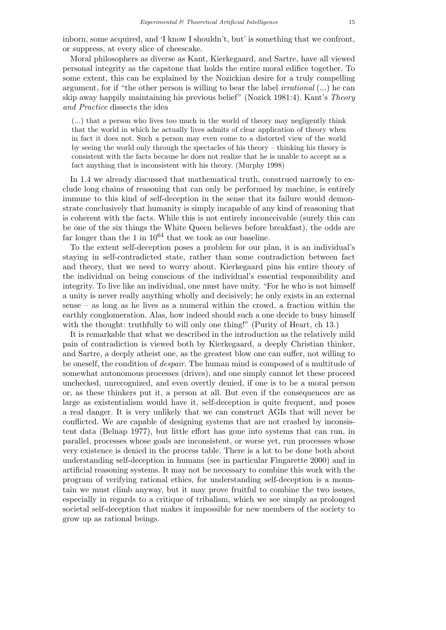inborn, some acquired, and 'I know I shouldn't, but' is something that we confront, or suppress, at every slice of cheescake.

Moral philosophers as diverse as Kant, Kierkegaard, and Sartre, have all viewed personal integrity as the capstone that holds the entire moral edifice together. To some extent, this can be explained by the Nozickian desire for a truly compelling argument, for if "the other person is willing to bear the label irrational (...) he can skip away happily maintaining his previous belief" (Nozick 1981:4). Kant's Theory and Practice dissects the idea

(...) that a person who lives too much in the world of theory may negligently think that the world in which he actually lives admits of clear application of theory when in fact it does not. Such a person may even come to a distorted view of the world by seeing the world only through the spectacles of his theory – thinking his theory is consistent with the facts because he does not realize that he is unable to accept as a fact anything that is inconsistent with his theory. (Murphy 1998)

In 1.4 we already discussed that mathematical truth, construed narrowly to exclude long chains of reasoning that can only be performed by machine, is entirely immune to this kind of self-deception in the sense that its failure would demonstrate conclusively that humanity is simply incapable of any kind of reasoning that is coherent with the facts. While this is not entirely inconceivable (surely this can be one of the six things the White Queen believes before breakfast), the odds are far longer than the 1 in  $10^{64}$  that we took as our baseline.

To the extent self-deception poses a problem for our plan, it is an individual's staying in self-contradicted state, rather than some contradiction between fact and theory, that we need to worry about. Kierkegaard pins his entire theory of the individual on being conscious of the individual's essential responsibility and integrity. To live like an individual, one must have unity. "For he who is not himself a unity is never really anything wholly and decisively; he only exists in an external sense – as long as he lives as a numeral within the crowd, a fraction within the earthly conglomeration. Alas, how indeed should such a one decide to busy himself with the thought: truthfully to will only one thing!" (Purity of Heart, ch 13.)

It is remarkable that what we described in the introduction as the relatively mild pain of contradiction is viewed both by Kierkegaard, a deeply Christian thinker, and Sartre, a deeply atheist one, as the greatest blow one can suffer, not willing to be oneself, the condition of despair. The human mind is composed of a multitude of somewhat autonomous processes (drives), and one simply cannot let these proceed unchecked, unrecognized, and even overtly denied, if one is to be a moral person or, as these thinkers put it, a person at all. But even if the consequences are as large as existentialism would have it, self-deception is quite frequent, and poses a real danger. It is very unlikely that we can construct AGIs that will never be conflicted. We are capable of designing systems that are not crashed by inconsistent data (Belnap 1977), but little effort has gone into systems that can run, in parallel, processes whose goals are inconsistent, or worse yet, run processes whose very existence is denied in the process table. There is a lot to be done both about understanding self-deception in humans (see in particular Fingarette 2000) and in artificial reasoning systems. It may not be necessary to combine this work with the program of verifying rational ethics, for understanding self-deception is a mountain we must climb anyway, but it may prove fruitful to combine the two issues, especially in regards to a critique of tribalism, which we see simply as prolonged societal self-deception that makes it impossible for new members of the society to grow up as rational beings.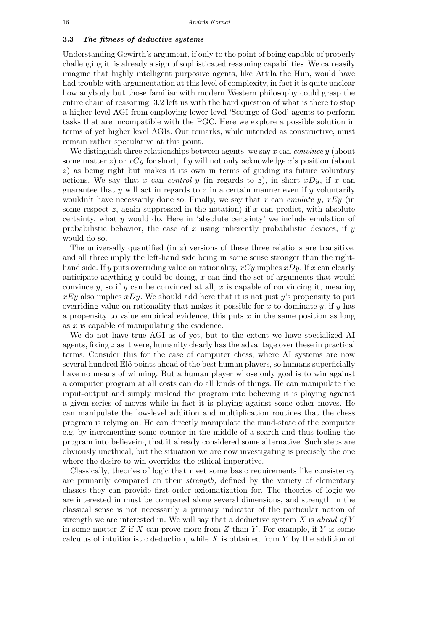# 3.3 The fitness of deductive systems

Understanding Gewirth's argument, if only to the point of being capable of properly challenging it, is already a sign of sophisticated reasoning capabilities. We can easily imagine that highly intelligent purposive agents, like Attila the Hun, would have had trouble with argumentation at this level of complexity, in fact it is quite unclear how anybody but those familiar with modern Western philosophy could grasp the entire chain of reasoning. 3.2 left us with the hard question of what is there to stop a higher-level AGI from employing lower-level 'Scourge of God' agents to perform tasks that are incompatible with the PGC. Here we explore a possible solution in terms of yet higher level AGIs. Our remarks, while intended as constructive, must remain rather speculative at this point.

We distinguish three relationships between agents: we say  $x$  can *convince*  $y$  (about some matter z) or  $xCy$  for short, if y will not only acknowledge x's position (about z) as being right but makes it its own in terms of guiding its future voluntary actions. We say that x can *control* y (in regards to z), in short  $xDy$ , if x can guarantee that  $y$  will act in regards to  $z$  in a certain manner even if  $y$  voluntarily wouldn't have necessarily done so. Finally, we say that x can emulate y,  $xEy$  (in some respect  $z$ , again suppressed in the notation) if  $x$  can predict, with absolute certainty, what y would do. Here in 'absolute certainty' we include emulation of probabilistic behavior, the case of x using inherently probabilistic devices, if  $y$ would do so.

The universally quantified (in  $z$ ) versions of these three relations are transitive, and all three imply the left-hand side being in some sense stronger than the righthand side. If y puts overriding value on rationality,  $xCy$  implies  $xDy$ . If x can clearly anticipate anything  $y$  could be doing,  $x$  can find the set of arguments that would convince  $y$ , so if  $y$  can be convinced at all,  $x$  is capable of convincing it, meaning  $xEy$  also implies  $xDy$ . We should add here that it is not just y's propensity to put overriding value on rationality that makes it possible for x to dominate  $y$ , if  $y$  has a propensity to value empirical evidence, this puts  $x$  in the same position as long as x is capable of manipulating the evidence.

We do not have true AGI as of yet, but to the extent we have specialized AI agents, fixing z as it were, humanity clearly has the advantage over these in practical terms. Consider this for the case of computer chess, where AI systems are now several hundred Elő points ahead of the best human players, so humans superficially have no means of winning. But a human player whose only goal is to win against a computer program at all costs can do all kinds of things. He can manipulate the input-output and simply mislead the program into believing it is playing against a given series of moves while in fact it is playing against some other moves. He can manipulate the low-level addition and multiplication routines that the chess program is relying on. He can directly manipulate the mind-state of the computer e.g. by incrementing some counter in the middle of a search and thus fooling the program into believeing that it already considered some alternative. Such steps are obviously unethical, but the situation we are now investigating is precisely the one where the desire to win overrides the ethical imperative.

Classically, theories of logic that meet some basic requirements like consistency are primarily compared on their strength, defined by the variety of elementary classes they can provide first order axiomatization for. The theories of logic we are interested in must be compared along several dimensions, and strength in the classical sense is not necessarily a primary indicator of the particular notion of strength we are interested in. We will say that a deductive system  $X$  is ahead of  $Y$ in some matter  $Z$  if  $X$  can prove more from  $Z$  than  $Y$ . For example, if  $Y$  is some calculus of intuitionistic deduction, while  $X$  is obtained from  $Y$  by the addition of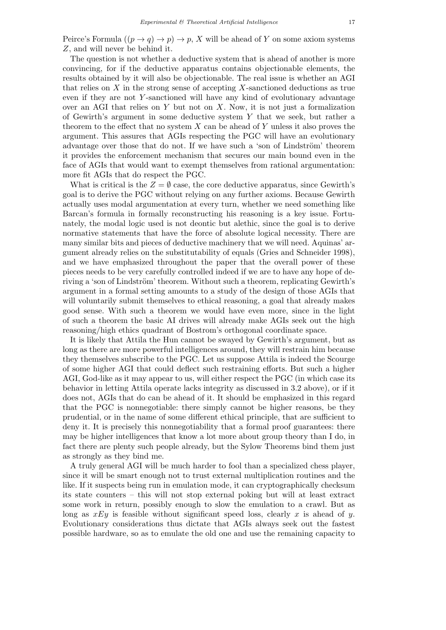Peirce's Formula  $((p \rightarrow q) \rightarrow p, X$  will be ahead of Y on some axiom systems Z, and will never be behind it.

The question is not whether a deductive system that is ahead of another is more convincing, for if the deductive apparatus contains objectionable elements, the results obtained by it will also be objectionable. The real issue is whether an AGI that relies on  $X$  in the strong sense of accepting X-sanctioned deductions as true even if they are not Y -sanctioned will have any kind of evolutionary advantage over an AGI that relies on Y but not on X. Now, it is not just a formalization of Gewirth's argument in some deductive system Y that we seek, but rather a theorem to the effect that no system  $X$  can be ahead of  $Y$  unless it also proves the argument. This assures that AGIs respecting the PGC will have an evolutionary advantage over those that do not. If we have such a 'son of Lindström' theorem it provides the enforcement mechanism that secures our main bound even in the face of AGIs that would want to exempt themselves from rational argumentation: more fit AGIs that do respect the PGC.

What is critical is the  $Z = \emptyset$  case, the core deductive apparatus, since Gewirth's goal is to derive the PGC without relying on any further axioms. Because Gewirth actually uses modal argumentation at every turn, whether we need something like Barcan's formula in formally reconstructing his reasoning is a key issue. Fortunately, the modal logic used is not deontic but alethic, since the goal is to derive normative statements that have the force of absolute logical necessity. There are many similar bits and pieces of deductive machinery that we will need. Aquinas' argument already relies on the substitutability of equals (Gries and Schneider 1998), and we have emphasized throughout the paper that the overall power of these pieces needs to be very carefully controlled indeed if we are to have any hope of deriving a 'son of Lindström' theorem. Without such a theorem, replicating Gewirth's argument in a formal setting amounts to a study of the design of those AGIs that will voluntarily submit themselves to ethical reasoning, a goal that already makes good sense. With such a theorem we would have even more, since in the light of such a theorem the basic AI drives will already make AGIs seek out the high reasoning/high ethics quadrant of Bostrom's orthogonal coordinate space.

It is likely that Attila the Hun cannot be swayed by Gewirth's argument, but as long as there are more powerful intelligences around, they will restrain him because they themselves subscribe to the PGC. Let us suppose Attila is indeed the Scourge of some higher AGI that could deflect such restraining efforts. But such a higher AGI, God-like as it may appear to us, will either respect the PGC (in which case its behavior in letting Attila operate lacks integrity as discussed in 3.2 above), or if it does not, AGIs that do can be ahead of it. It should be emphasized in this regard that the PGC is nonnegotiable: there simply cannot be higher reasons, be they prudential, or in the name of some different ethical principle, that are sufficient to deny it. It is precisely this nonnegotiability that a formal proof guarantees: there may be higher intelligences that know a lot more about group theory than I do, in fact there are plenty such people already, but the Sylow Theorems bind them just as strongly as they bind me.

A truly general AGI will be much harder to fool than a specialized chess player, since it will be smart enough not to trust external multiplication routines and the like. If it suspects being run in emulation mode, it can cryptographically checksum its state counters – this will not stop external poking but will at least extract some work in return, possibly enough to slow the emulation to a crawl. But as long as  $xEy$  is feasible without significant speed loss, clearly x is ahead of y. Evolutionary considerations thus dictate that AGIs always seek out the fastest possible hardware, so as to emulate the old one and use the remaining capacity to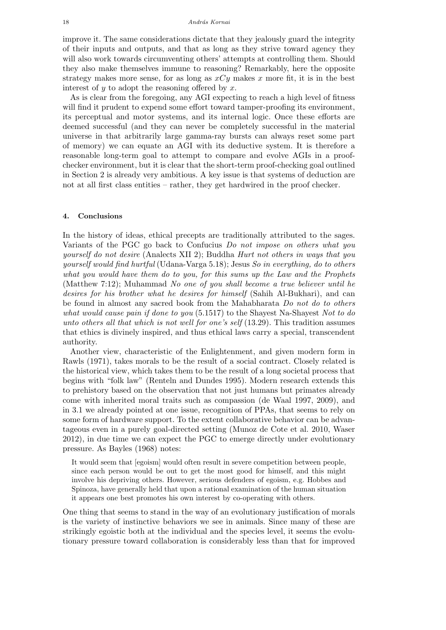improve it. The same considerations dictate that they jealously guard the integrity of their inputs and outputs, and that as long as they strive toward agency they will also work towards circumventing others' attempts at controlling them. Should they also make themselves immune to reasoning? Remarkably, here the opposite strategy makes more sense, for as long as  $xCy$  makes x more fit, it is in the best interest of  $y$  to adopt the reasoning offered by  $x$ .

As is clear from the foregoing, any AGI expecting to reach a high level of fitness will find it prudent to expend some effort toward tamper-proofing its environment, its perceptual and motor systems, and its internal logic. Once these efforts are deemed successful (and they can never be completely successful in the material universe in that arbitrarily large gamma-ray bursts can always reset some part of memory) we can equate an AGI with its deductive system. It is therefore a reasonable long-term goal to attempt to compare and evolve AGIs in a proofchecker environment, but it is clear that the short-term proof-checking goal outlined in Section 2 is already very ambitious. A key issue is that systems of deduction are not at all first class entities – rather, they get hardwired in the proof checker.

### 4. Conclusions

In the history of ideas, ethical precepts are traditionally attributed to the sages. Variants of the PGC go back to Confucius Do not impose on others what you yourself do not desire (Analects XII 2); Buddha Hurt not others in ways that you yourself would find hurtful (Udana-Varga 5.18); Jesus So in everything, do to others what you would have them do to you, for this sums up the Law and the Prophets (Matthew 7:12); Muhammad No one of you shall become a true believer until he desires for his brother what he desires for himself (Sahih Al-Bukhari), and can be found in almost any sacred book from the Mahabharata Do not do to others what would cause pain if done to you  $(5.1517)$  to the Shayest Na-Shayest Not to do unto others all that which is not well for one's self  $(13.29)$ . This tradition assumes that ethics is divinely inspired, and thus ethical laws carry a special, transcendent authority.

Another view, characteristic of the Enlightenment, and given modern form in Rawls (1971), takes morals to be the result of a social contract. Closely related is the historical view, which takes them to be the result of a long societal process that begins with "folk law" (Renteln and Dundes 1995). Modern research extends this to prehistory based on the observation that not just humans but primates already come with inherited moral traits such as compassion (de Waal 1997, 2009), and in 3.1 we already pointed at one issue, recognition of PPAs, that seems to rely on some form of hardware support. To the extent collaborative behavior can be advantageous even in a purely goal-directed setting (Munoz de Cote et al. 2010, Waser 2012), in due time we can expect the PGC to emerge directly under evolutionary pressure. As Bayles (1968) notes:

It would seem that [egoism] would often result in severe competition between people, since each person would be out to get the most good for himself, and this might involve his depriving others. However, serious defenders of egoism, e.g. Hobbes and Spinoza, have generally held that upon a rational examination of the human situation it appears one best promotes his own interest by co-operating with others.

One thing that seems to stand in the way of an evolutionary justification of morals is the variety of instinctive behaviors we see in animals. Since many of these are strikingly egoistic both at the individual and the species level, it seems the evolutionary pressure toward collaboration is considerably less than that for improved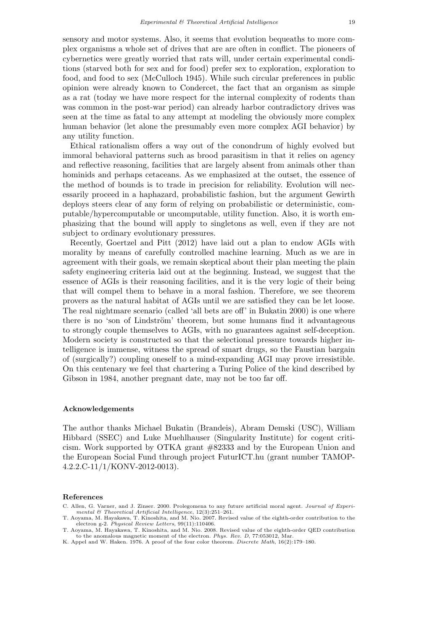sensory and motor systems. Also, it seems that evolution bequeaths to more complex organisms a whole set of drives that are are often in conflict. The pioneers of cybernetics were greatly worried that rats will, under certain experimental conditions (starved both for sex and for food) prefer sex to exploration, exploration to food, and food to sex (McCulloch 1945). While such circular preferences in public opinion were already known to Condercet, the fact that an organism as simple as a rat (today we have more respect for the internal complexity of rodents than was common in the post-war period) can already harbor contradictory drives was seen at the time as fatal to any attempt at modeling the obviously more complex human behavior (let alone the presumably even more complex AGI behavior) by any utility function.

Ethical rationalism offers a way out of the conondrum of highly evolved but immoral behavioral patterns such as brood parasitism in that it relies on agency and reflective reasoning, facilities that are largely absent from animals other than hominids and perhaps cetaceans. As we emphasized at the outset, the essence of the method of bounds is to trade in precision for reliability. Evolution will necessarily proceed in a haphazard, probabilistic fashion, but the argument Gewirth deploys steers clear of any form of relying on probabilistic or deterministic, computable/hypercomputable or uncomputable, utility function. Also, it is worth emphasizing that the bound will apply to singletons as well, even if they are not subject to ordinary evolutionary pressures.

Recently, Goertzel and Pitt (2012) have laid out a plan to endow AGIs with morality by means of carefully controlled machine learning. Much as we are in agreement with their goals, we remain skeptical about their plan meeting the plain safety engineering criteria laid out at the beginning. Instead, we suggest that the essence of AGIs is their reasoning facilities, and it is the very logic of their being that will compel them to behave in a moral fashion. Therefore, we see theorem provers as the natural habitat of AGIs until we are satisfied they can be let loose. The real nightmare scenario (called 'all bets are off' in Bukatin 2000) is one where there is no 'son of Lindström' theorem, but some humans find it advantageous to strongly couple themselves to AGIs, with no guarantees against self-deception. Modern society is constructed so that the selectional pressure towards higher intelligence is immense, witness the spread of smart drugs, so the Faustian bargain of (surgically?) coupling oneself to a mind-expanding AGI may prove irresistible. On this centenary we feel that chartering a Turing Police of the kind described by Gibson in 1984, another pregnant date, may not be too far off.

#### Acknowledgements

The author thanks Michael Bukatin (Brandeis), Abram Demski (USC), William Hibbard (SSEC) and Luke Muehlhauser (Singularity Institute) for cogent criticism. Work supported by OTKA grant #82333 and by the European Union and the European Social Fund through project FuturICT.hu (grant number TAMOP- $4.2.2.C-11/1/KONV-2012-0013$ .

#### References

- C. Allen, G. Varner, and J. Zinser. 2000. Prolegomena to any future artificial moral agent. Journal of Experimental & Theoretical Artificial Intelligence, 12(3):251–261.
- T. Aoyama, M. Hayakawa, T. Kinoshita, and M. Nio. 2007. Revised value of the eighth-order contribution to the electron g-2. Physical Review Letters, 99(11):110406.
- T. Aoyama, M. Hayakawa, T. Kinoshita, and M. Nio. 2008. Revised value of the eighth-order QED contribution to the anomalous magnetic moment of the electron. Phys. Rev. D, 77:053012, Mar. K. Appel and W. Haken. 1976. A proof of the four color theorem. Discrete Math, 16(2):179–180.
-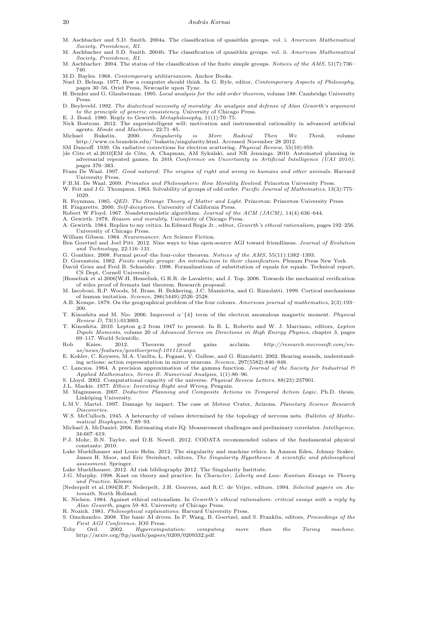M. Aschbacher and S.D. Smith. 2004a. The classification of quasithin groups. vol. i. American Mathematical Society, Providence, RI.

M. Aschbacher and S.D. Smith. 2004b. The classification of quasithin groups. vol. ii. American Mathematical Society, Providence, RI.

- M. Aschbacher. 2004. The status of the classification of the finite simple groups. Notices of the AMS, 51(7):736– 740.
- M.D. Bayles. 1968. Contemporary utilitarianism. Anchor Books. Nuel D. Belnap. 1977. How a computer should think. In G. Ryle, editor, Contemporary Aspects of Philosophy, pages 30–56. Oriel Press, Newcastle upon Tyne.
- H. Bender and G. Glauberman. 1995. Local analysis for the odd order theorem, volume 188. Cambridge University Press.
- D. Beyleveld. 1992. The dialectical necessity of morality: An analysis and defense of Alan Gewirth's argument to the principle of generic consistency. University of Chicago Press.
- E. J. Bond. 1980. Reply to Gewirth. Metaphilosophy, 11(1):70–75.
- Nick Bostrom. 2012. The superintelligent will: motivation and instrumental rationality in advanced artificial agents. Minds and Machines, 22:71-85.<br>Michael Bukatin. 2000. Singularity
- Michael Bukatin. 2000. *Singularity is More Radical Then We Think*, volume http://www.cs.brandeis.edu/~bukatin/singularity.html. Accessed November 28 2012.<br>SM Dancoff. 1939. On radiative corrections for electron scattering
- [de Cˆote et al.2010]EM de Cˆote, A. Chapman, AM Sykulski, and NR Jennings. 2010. Automated planning in
- adversarial repeated games. In 26th Conference on Uncertainty in Artificial Intelligence (UAI 2010), pages 376–383.
- Frans De Waal. 1997. Good natured: The origins of right and wrong in humans and other animals. Harvard University Press.
- F.B.M. De Waal. 2009. Primates and Philosophers: How Morality Evolved. Princeton University Press. W. Feit and J.G. Thompson. 1963. Solvability of groups of odd order. Pacific Journal of Mathematics, 13(3):775– 1029.
- R. Feynman. 1985. QED. The Strange Theory of Matter and Light. Princeton: Princeton University Press. H. Fingarette. 2000. Self-deception. University of California Press.
- Robert W Floyd. 1967. Nondeterministic algorithms. Journal of the ACM (JACM), 14(4):636–644.
- 
- A. Gewirth. 1978. *Reason and morality*. University of Chicago Press.<br>A. Gewirth. 1984. Replies to my critics. In Edward Regis Jr., editor, *Gewirth's ethical rationalism*, pages 192–256. University of Chicago Press.
- William Gibson. 1984. Neuromancer. Ace Science Fiction.
- Ben Goertzel and Joel Pitt. 2012. Nine ways to bias open-source AGI toward friendliness. Journal of Evolution and Technology, 22:116–131.
- G. Gonthier. 2008. Formal proof–the four-color theorem. Notices of the AMS, 55(11):1382–1393.
- D. Gorenstein. 1982. Finite simple groups: An introduction to their classification. Plenum Press New York. David Gries and Fred B. Schneider. 1998. Formalizations of substitution of equals for equals. Technical report, CS Dept, Cornell University.
- [Hesselink et al.2006]W.H. Hesselink, G.R.R. de Lavalette, and J. Top. 2006. Towards the mechanical verification
- of wiles proof of fermats last theorem. Research proposal.<br>M. Iacoboni, R.P. Woods, M. Brass, H. Bekkering, J.C. Mazziotta, and G. Rizzolatti. 1999. Cortical mechanisms<br>of human imitation. *Science*, 286(5449):2526–2528.
- A.B. Kempe. 1879. On the geographical problem of the four colours. American journal of mathematics, 2(3):193– 200.
- T. Kinoshita and M. Nio. 2006. Improved  $\alpha^{\hat{ }}\{4\}$  term of the electron anomalous magnetic moment. Physical Review D, 73(1):013003.
- T. Kinoshita. 2010. Lepton g-2 from 1947 to present. In B. L. Roberts and W. J. Marciano, editors, Lepton Dipole Moments, volume 20 of Advanced Series on Directions in High Energy Physics, chapter 3, pages 69–117. World Scientific.
- Rob Knies. 2012. Theorem proof gains acclaim. http://research.microsoft.com/enus/news/features/gonthierproof-101112.aspx.
- E. Kohler, C. Keysers, M.A. Umilta, L. Fogassi, V. Gallese, and G. Rizzolatti. 2002. Hearing sounds, understanding actions: action representation in mirror neurons. Science, 297(5582):846–848.
- C. Lanczos. 1964. A precision approximation of the gamma function. Journal of the Society for Industrial & Applied Mathematics, Series B: Numerical Analysis, 1(1):86–96.
- S. Lloyd. 2002. Computational capacity of the universe. Physical Review Letters, 88(23):237901.
- J.L. Mackie. 1977. Ethics: Inventing Right and Wrong. Penguin.
- M. Magnusson. 2007. Deductive Planning and Composite Actions in Temporal Action Logic. Ph.D. thesis, Linköping University. L.M.V. Martel. 1997. Damage by impact. The case at Meteor Crater, Arizona. Planetary Science Research
- Discoveries. W.S. McCulloch. 1945. A heterarchy of values determined by the topology of nervous nets. Bulletin of Mathe-
- matical Biophysics, 7:89–93. Michael A. McDaniel. 2006. Estimating state IQ: Measurement challenges and preliminary correlates. Intelligence,
- 34:607–619. P.J. Mohr, B.N. Taylor, and D.B. Newell. 2012. CODATA recommended values of the fundamental physical constants: 2010.
- Luke Muehlhauser and Louie Helm. 2012. The singularity and machine ethics. In Amnon Eden, Johnny Sraker, James H. Moor, and Eric Steinhart, editors, The Singularity Hypotheses: A scientific and philosophical assessment. Springer.
- Luke Muehlhauser. 2012. AI risk bibliography 2012. The Singularity Institute.
- J.G. Murphy. 1998. Kant on theory and practice. In Character, Liberty and Law: Kantian Essays in Theory and Practice. Kluwer.
- [Nederpelt et al.1994]R.P. Nederpelt, J.H. Geuvers, and R.C. de Vrijer, editors. 1994. Selected papers on Automath. North Holland.
- K. Nielsen. 1984. Against ethical rationalism. In Gewirth's ethical rationalism: critical essays with a reply by Alan Gewirth, pages 59–83. University of Chicago Press.

R. Nozick. 1981. Philosophical explanations. Harvard University Press.

- S. Omohundro. 2008. The basic AI drives. In P. Wang, B. Goertzel, and S. Franklin, editors, Proceedings of the First AGI Conference. IOS Press.<br>The Cord. 2002. Hypercomputer
- Toby Ord. 2002. Hypercomputation: computing more than the Turing machine. http://arxiv.org/ftp/math/papers/0209/0209332.pdf.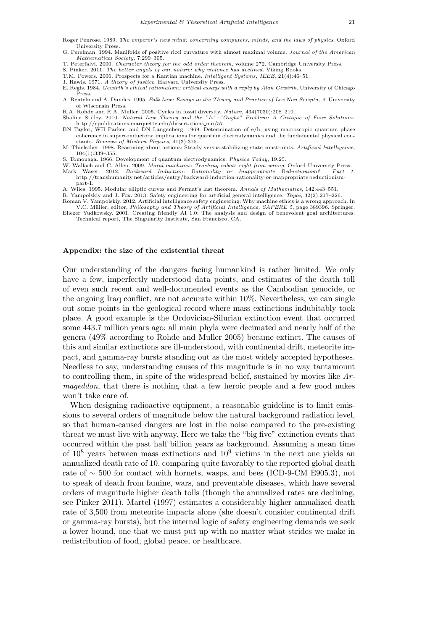Roger Penrose. 1989. The emperor's new mind: concerning computers, minds, and the laws of physics. Oxford University Press.

G. Perelman. 1994. Manifolds of positive ricci curvature with almost maximal volume. Journal of the American Mathematical Society, 7:299–305.

T. Peterfalvi. 2000. Character theory for the odd order theorem, volume 272. Cambridge University Press.

S. Pinker. 2011. The better angels of our nature: why violence has declined. Viking Books.

- T.M. Powers. 2006. Prospects for a Kantian machine. Intelligent Systems, IEEE, 21(4):46–51.
- J. Rawls. 1971. A theory of justice. Harvard University Press.
- E. Regis. 1984. Gewirth's ethical rationalism: critical essays with a reply by Alan Gewirth. University of Chicago Press.
- A. Renteln and A. Dundes. 1995. Folk Law: Essays in the Theory and Practice of Lex Non Scripta, 2. University of Wisconsin Press.

R.A. Rohde and R.A. Muller. 2005. Cycles in fossil diversity. Nature, 434(7030):208–210.

- Shalina Stilley. 2010. Natural Law Theory and the "Is"-"Ought" Problem: A Critique of Four Solutions. http://epublications.marquette.edu/dissertations\_mu/57.
- BN Taylor, WH Parker, and DN Langenberg. 1969. Determination of e/h, using macroscopic quantum phase coherence in superconductors: implications for quantum electrodynamics and the fundamental physical constants. Reviews of Modern Physics, 41(3):375.
- M. Thielscher. 1998. Reasoning about actions: Steady versus stabilizing state constraints. Artificial Intelligence, 104(1):339–355.

S. Tomonaga. 1966. Development of quantum electrodynamics. Physics Today, 19:25.

W. Wallach and C. Allen. 2009. Moral machines: Teaching robots right from wrong. Oxford University Press. Mark Waser. 2012. Backward Induction: Rationality or Inappropriate Reductionism? Part 1. http://transhumanity.net/articles/entry/backward-induction-rationality-or-inappropriate-reductionismpart-1.

A. Wiles. 1995. Modular elliptic curves and Fermat's last theorem. Annals of Mathematics, 142:443–551.

- R. Yampolskiy and J. Fox. 2013. Safety engineering for artificial general intelligence. Topoi, 32(2):217–226.
- Roman V. Yampolskiy. 2012. Artificial intelligence safety engineering: Why machine ethics is a wrong approach. In V.C. Müller, editor, *Philosophy and Theory of Artificial Intelligence, SAPERE 5*, page 389396. Springer.<br>Eliezer Yudkowsky. 2001. Creating friendly AI 1.0: The analysis and design of benevolent goal architectures.
	- Technical report, The Singularity Institute, San Francisco, CA.

### Appendix: the size of the existential threat

Our understanding of the dangers facing humankind is rather limited. We only have a few, imperfectly understood data points, and estimates of the death toll of even such recent and well-documented events as the Cambodian genocide, or the ongoing Iraq conflict, are not accurate within 10%. Nevertheless, we can single out some points in the geological record where mass extinctions indubitably took place. A good example is the Ordovician-Silurian extinction event that occurred some 443.7 million years ago: all main phyla were decimated and nearly half of the genera (49% according to Rohde and Muller 2005) became extinct. The causes of this and similar extinctions are ill-understood, with continental drift, meteorite impact, and gamma-ray bursts standing out as the most widely accepted hypotheses. Needless to say, understanding causes of this magnitude is in no way tantamount to controlling them, in spite of the widespread belief, sustained by movies like Armageddon, that there is nothing that a few heroic people and a few good nukes won't take care of.

When designing radioactive equipment, a reasonable guideline is to limit emissions to several orders of magnitude below the natural background radiation level, so that human-caused dangers are lost in the noise compared to the pre-existing threat we must live with anyway. Here we take the "big five" extinction events that occurred within the past half billion years as background. Assuming a mean time of  $10^8$  years between mass extinctions and  $10^9$  victims in the next one yields an annualized death rate of 10, comparing quite favorably to the reported global death rate of  $\sim$  500 for contact with hornets, wasps, and bees (ICD-9-CM E905.3), not to speak of death from famine, wars, and preventable diseases, which have several orders of magnitude higher death tolls (though the annualized rates are declining, see Pinker 2011). Martel (1997) estimates a considerably higher annualized death rate of 3,500 from meteorite impacts alone (she doesn't consider continental drift or gamma-ray bursts), but the internal logic of safety engineering demands we seek a lower bound, one that we must put up with no matter what strides we make in redistribution of food, global peace, or healthcare.